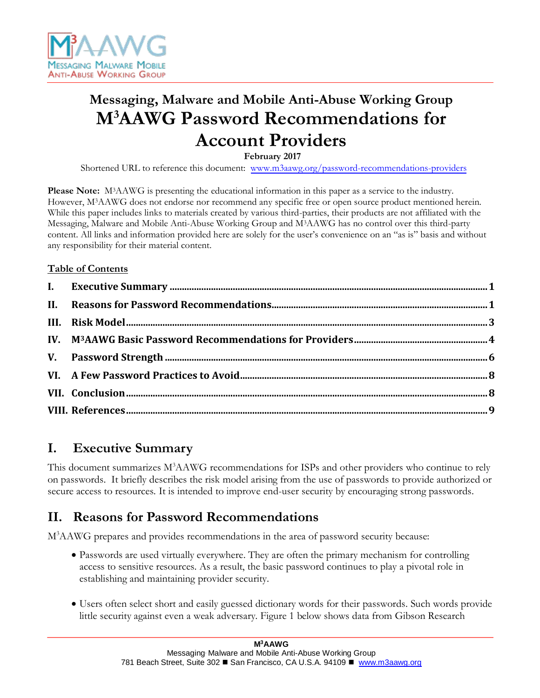

# **Messaging, Malware and Mobile Anti-Abuse Working Group M<sup>3</sup>AAWG Password Recommendations for Account Providers**

**February 2017** 

Shortened URL to reference this document: [www.m3aawg.org/password-recommendations-providers](http://www.m3aawg.org/password-recommendations-providers)

**Please Note:** M3AAWG is presenting the educational information in this paper as a service to the industry. However, M3AAWG does not endorse nor recommend any specific free or open source product mentioned herein. While this paper includes links to materials created by various third-parties, their products are not affiliated with the Messaging, Malware and Mobile Anti-Abuse Working Group and M3AAWG has no control over this third-party content. All links and information provided here are solely for the user's convenience on an "as is" basis and without any responsibility for their material content.

### **Table of Contents**

# <span id="page-0-0"></span>**I. Executive Summary**

This document summarizes M<sup>3</sup>AAWG recommendations for ISPs and other providers who continue to rely on passwords. It briefly describes the risk model arising from the use of passwords to provide authorized or secure access to resources. It is intended to improve end-user security by encouraging strong passwords.

# <span id="page-0-1"></span>**II. Reasons for Password Recommendations**

M<sup>3</sup>AAWG prepares and provides recommendations in the area of password security because:

- Passwords are used virtually everywhere. They are often the primary mechanism for controlling access to sensitive resources. As a result, the basic password continues to play a pivotal role in establishing and maintaining provider security.
- Users often select short and easily guessed dictionary words for their passwords. Such words provide little security against even a weak adversary. Figure 1 below shows data from Gibson Research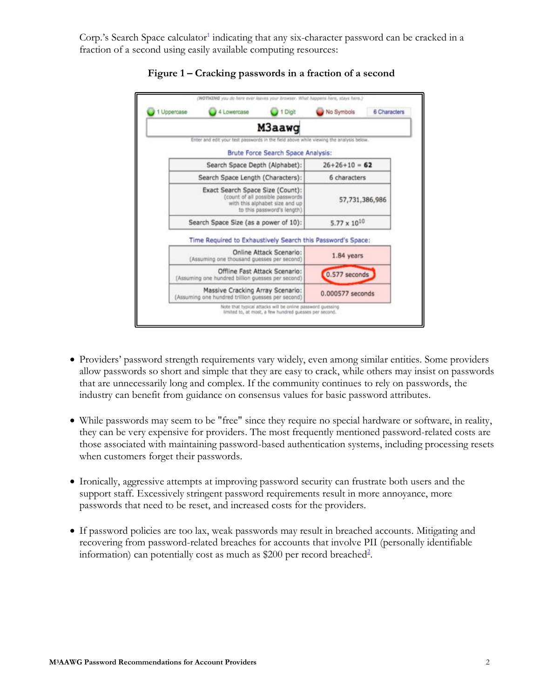Co[r](#page-8-1)p.'s Search Space calculator<sup>[1](#page-8-3)</sup> indicating that any six-character password can be cracked in a fraction of a second using easily available computing resources:



#### **Figure 1 – Cracking passwords in a fraction of a second**

- Providers' password strength requirements vary widely, even among similar entities. Some providers allow passwords so short and simple that they are easy to crack, while others may insist on passwords that are unnecessarily long and complex. If the community continues to rely on passwords, the industry can benefit from guidance on consensus values for basic password attributes.
- While passwords may seem to be "free" since they require no special hardware or software, in reality, they can be very expensive for providers. The most frequently mentioned password-related costs are those associated with maintaining password-based authentication systems, including processing resets when customers forget their passwords.
- Ironically, aggressive attempts at improving password security can frustrate both users and the support staff. Excessively stringent password requirements result in more annoyance, more passwords that need to be reset, and increased costs for the providers.
- <span id="page-1-0"></span>• If password policies are too lax, weak passwords may result in breached accounts. Mitigating and recovering from password-related breaches for accounts that involve PII (personally identifiable information) can potentially cost as much as \$[2](#page-8-4)00 per record breached<sup>2</sup>[.](#page-8-2)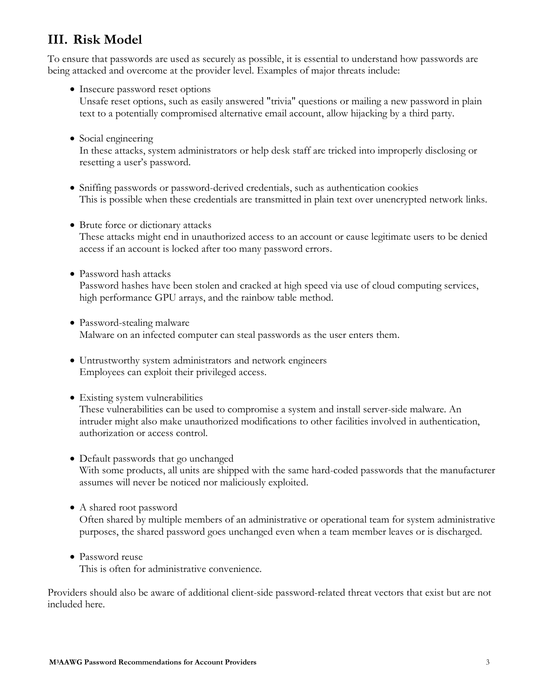# **III. Risk Model**

To ensure that passwords are used as securely as possible, it is essential to understand how passwords are being attacked and overcome at the provider level. Examples of major threats include:

- Insecure password reset options Unsafe reset options, such as easily answered "trivia" questions or mailing a new password in plain text to a potentially compromised alternative email account, allow hijacking by a third party.
- Social engineering

In these attacks, system administrators or help desk staff are tricked into improperly disclosing or resetting a user's password.

- Sniffing passwords or password-derived credentials, such as authentication cookies This is possible when these credentials are transmitted in plain text over unencrypted network links.
- Brute force or dictionary attacks

These attacks might end in unauthorized access to an account or cause legitimate users to be denied access if an account is locked after too many password errors.

• Password hash attacks

Password hashes have been stolen and cracked at high speed via use of cloud computing services, high performance GPU arrays, and the rainbow table method.

- Password-stealing malware Malware on an infected computer can steal passwords as the user enters them.
- Untrustworthy system administrators and network engineers Employees can exploit their privileged access.
- Existing system vulnerabilities

These vulnerabilities can be used to compromise a system and install server-side malware. An intruder might also make unauthorized modifications to other facilities involved in authentication, authorization or access control.

- Default passwords that go unchanged With some products, all units are shipped with the same hard-coded passwords that the manufacturer assumes will never be noticed nor maliciously exploited.
- A shared root password

Often shared by multiple members of an administrative or operational team for system administrative purposes, the shared password goes unchanged even when a team member leaves or is discharged.

• Password reuse

This is often for administrative convenience.

Providers should also be aware of additional client-side password-related threat vectors that exist but are not included here.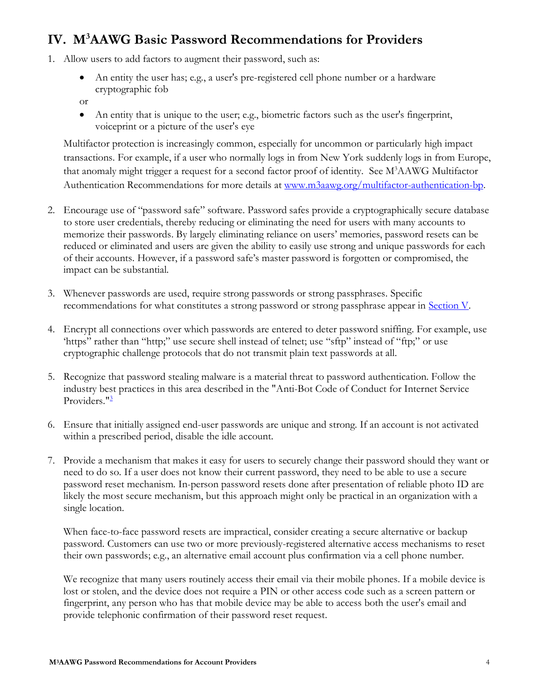# <span id="page-3-0"></span>**IV. M<sup>3</sup>AAWG Basic Password Recommendations for Providers**

- 1. Allow users to add factors to augment their password, such as:
	- An entity the user has; e.g., a user's pre-registered cell phone number or a hardware cryptographic fob
	- or
	- An entity that is unique to the user; e.g., biometric factors such as the user's fingerprint, voiceprint or a picture of the user's eye

Multifactor protection is increasingly common, especially for uncommon or particularly high impact transactions. For example, if a user who normally logs in from New York suddenly logs in from Europe, that anomaly might trigger a request for a second factor proof of identity. See M<sup>3</sup>AAWG Multifactor Authentication Recommendations for more details at [www.m3aawg.org/multifactor-authentication-bp.](http://www.m3aawg.org/multifactor-authentication-bp)

- 2. Encourage use of "password safe" software. Password safes provide a cryptographically secure database to store user credentials, thereby reducing or eliminating the need for users with many accounts to memorize their passwords. By largely eliminating reliance on users' memories, password resets can be reduced or eliminated and users are given the ability to easily use strong and unique passwords for each of their accounts. However, if a password safe's master password is forgotten or compromised, the impact can be substantial.
- 3. Whenever passwords are used, require strong passwords or strong passphrases. Specific recommendations for what constitutes a strong password or strong passphrase appear in [Section V.](#page-5-1)
- 4. Encrypt all connections over which passwords are entered to deter password sniffing. For example, use 'https" rather than "http;" use secure shell instead of telnet; use "sftp" instead of "ftp;" or use cryptographic challenge protocols that do not transmit plain text passwords at all.
- 5. Recognize that password stealing malware is a material threat to password authentication. Follow the industry best practices in this area described in the "Anti-Bot Code of Conduct for Internet Service Providers.["](#page-8-5)<sup>[3](#page-8-6)</sup>
- 6. Ensure that initially assigned end-user passwords are unique and strong. If an account is not activated within a prescribed period, disable the idle account.
- 7. Provide a mechanism that makes it easy for users to securely change their password should they want or need to do so. If a user does not know their current password, they need to be able to use a secure password reset mechanism. In-person password resets done after presentation of reliable photo ID are likely the most secure mechanism, but this approach might only be practical in an organization with a single location.

When face-to-face password resets are impractical, consider creating a secure alternative or backup password. Customers can use two or more previously-registered alternative access mechanisms to reset their own passwords; e.g., an alternative email account plus confirmation via a cell phone number.

We recognize that many users routinely access their email via their mobile phones. If a mobile device is lost or stolen, and the device does not require a PIN or other access code such as a screen pattern or fingerprint, any person who has that mobile device may be able to access both the user's email and provide telephonic confirmation of their password reset request.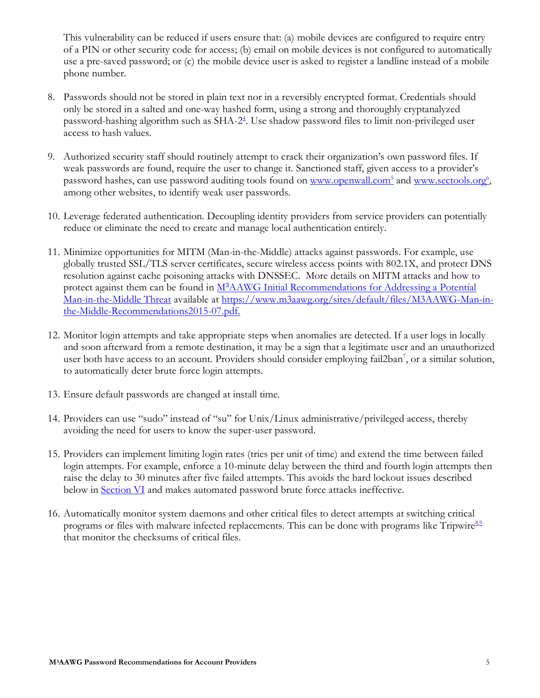This vulnerability can be reduced if users ensure that: (a) mobile devices are configured to require entry of a PIN or other security code for access; (b) email on mobile devices is not configured to automatically use a pre-saved password; or (c) the mobile device user is asked to register a landline instead of a mobile phone number.

- 8. Passwords should not be stored in plain text nor in a reversibly encrypted format. Credentials should only be stored in a salted and one-way hashed form, using a strong and thoroughly cryptanalyzed password-hashing algorithm such as SHA-2<sup>[4](#page-8-11)</sup>[.](#page-8-7) Use shadow password files to limit non-privileged user access to hash values.
- 9. Authorized security staff should routinely attempt to crack their organization's own password files. If weak passwords are found, require the user to change it. Sanctioned staff, given access to a provider's password hashes, can use password auditing tools found on [www.openwall.com](http://www.openwall.com/)<sup>[5](#page-8-12)</sup> and [www.sectools.org](http://www.sectools.org/)<sup>[6](#page-8-13)</sup>, among other websites, to identify weak user passwords.
- 10. Leverage federated authentication. Decoupling identity providers from service providers can potentially reduce or eliminate the need to create and manage local authentication entirely.
- 11. Minimize opportunities for MITM (Man-in-the-Middle) attacks against passwords. For example, use globally trusted SSL/TLS server certificates, secure wireless access points with 802.1X, and protect DNS resolution against cache poisoning attacks with DNSSEC. More details on MITM attacks and how to protect against them can be found in M<sup>3</sup>[AAWG Initial Recommendations for Addressing a Potential](https://www.m3aawg.org/sites/default/files/M3AAWG-Man-in-the-Middle-Recommendations2015-07.pdf)  [Man-in-the-Middle Threat](https://www.m3aawg.org/sites/default/files/M3AAWG-Man-in-the-Middle-Recommendations2015-07.pdf) available at [https://www.m3aawg.org/sites/default/files/M3AAWG-Man-in](https://www.m3aawg.org/sites/default/files/M3AAWG-Man-in-the-Middle-Recommendations2015-07.pdf)[the-Middle-Recommendations2015-07.pdf.](https://www.m3aawg.org/sites/default/files/M3AAWG-Man-in-the-Middle-Recommendations2015-07.pdf)
- 12. Monitor login attempts and take appropriate steps when anomalies are detected. If a user logs in locally and soon afterward from a remote destination, it may be a sign that a legitimate user and an unauthorized user both have access to a[n](#page-8-8) account. Providers should consider employing fail2ban<sup>[7](#page-8-14)</sup>, or a similar solution, to automatically deter brute force login attempts.
- 13. Ensure default passwords are changed at install time.
- 14. Providers can use "sudo" instead of "su" for Unix/Linux administrative/privileged access, thereby avoiding the need for users to know the super-user password.
- 15. Providers can implement limiting login rates (tries per unit of time) and extend the time between failed login attempts. For example, enforce a 10-minute delay between the third and fourth login attempts then raise the delay to 30 minutes after five failed attempts. This avoids the hard lockout issues described below in **Section VI** and makes automated password brute force attacks ineffective.
- 16. Automatically monitor system daemons and other critical files to detect attempts at switching critical programs or fil[e](#page-8-9)s with malware infected replacements. This can be done with programs like Tripwire<sup>[8](#page-8-15)[,9](#page-8-10)</sup> that monitor the checksums of critical files.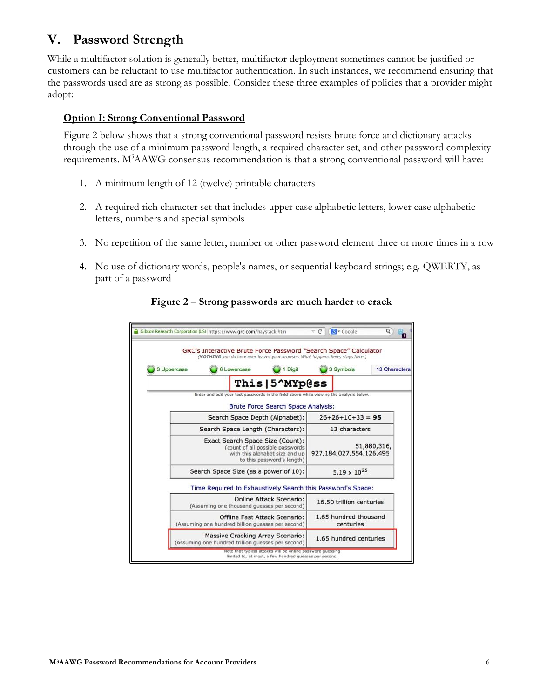# <span id="page-5-1"></span><span id="page-5-0"></span>**V. Password Strength**

While a multifactor solution is generally better, multifactor deployment sometimes cannot be justified or customers can be reluctant to use multifactor authentication. In such instances, we recommend ensuring that the passwords used are as strong as possible. Consider these three examples of policies that a provider might adopt:

### **Option I: Strong Conventional Password**

Figure 2 below shows that a strong conventional password resists brute force and dictionary attacks through the use of a minimum password length, a required character set, and other password complexity requirements. M<sup>3</sup>AAWG consensus recommendation is that a strong conventional password will have:

- 1. A minimum length of 12 (twelve) printable characters
- 2. A required rich character set that includes upper case alphabetic letters, lower case alphabetic letters, numbers and special symbols
- 3. No repetition of the same letter, number or other password element three or more times in a row
- 4. No use of dictionary words, people's names, or sequential keyboard strings; e.g. QWERTY, as part of a password

| <b>13 Characters</b> | 3 Symbols                              |  | GRC's Interactive Brute Force Password "Search Space" Calculator<br>(NOTHING you do here ever leaves your browser. What happens here, stays here.)<br>Digit | 6 Lowercase                                                                                                                          |  | 3 Uppercase |  |
|----------------------|----------------------------------------|--|-------------------------------------------------------------------------------------------------------------------------------------------------------------|--------------------------------------------------------------------------------------------------------------------------------------|--|-------------|--|
|                      |                                        |  | This   5 <sup>^</sup> MYp@ss                                                                                                                                |                                                                                                                                      |  |             |  |
|                      |                                        |  | Enter and edit your test passwords in the field above while viewing the analysis below.                                                                     |                                                                                                                                      |  |             |  |
|                      |                                        |  | Brute Force Search Space Analysis:                                                                                                                          |                                                                                                                                      |  |             |  |
| $26+26+10+33 = 95$   |                                        |  | Search Space Depth (Alphabet):                                                                                                                              |                                                                                                                                      |  |             |  |
| 13 characters        |                                        |  | Search Space Length (Characters):                                                                                                                           |                                                                                                                                      |  |             |  |
|                      | 51,880,316,<br>927,184,027,554,126,495 |  |                                                                                                                                                             | Exact Search Space Size (Count):<br>(count of all possible passwords<br>with this alphabet size and up<br>to this password's length) |  |             |  |
|                      | $5.19 \times 10^{25}$                  |  | Search Space Size (as a power of 10):                                                                                                                       |                                                                                                                                      |  |             |  |
|                      |                                        |  | Time Required to Exhaustively Search this Password's Space:                                                                                                 |                                                                                                                                      |  |             |  |
|                      | 16.50 trillion centuries               |  | <b>Online Attack Scenario:</b><br>(Assuming one thousand guesses per second)                                                                                |                                                                                                                                      |  |             |  |
|                      | 1.65 hundred thousand<br>centuries     |  | <b>Offline Fast Attack Scenario:</b><br>(Assuming one hundred billion guesses per second)                                                                   |                                                                                                                                      |  |             |  |
|                      | 1.65 hundred centuries                 |  | <b>Massive Cracking Array Scenario:</b><br>(Assuming one hundred trillion guesses per second)                                                               |                                                                                                                                      |  |             |  |

#### **Figure 2 – Strong passwords are much harder to crack**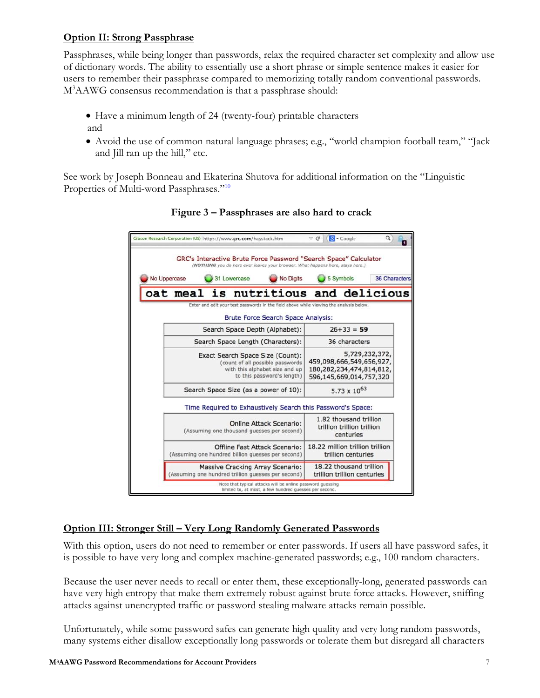### **Option II: Strong Passphrase**

Passphrases, while being longer than passwords, relax the required character set complexity and allow use of dictionary words. The ability to essentially use a short phrase or simple sentence makes it easier for users to remember their passphrase compared to memorizing totally random conventional passwords. M<sup>3</sup>AAWG consensus recommendation is that a passphrase should:

- Have a minimum length of 24 (twenty-four) printable characters
- and
- Avoid the use of common natural language phrases; e.g., "world champion football team," "Jack and Jill ran up the hill," etc.

See work by Joseph Bonneau and Ekaterina Shutova for additional information on the "Linguistic Properties of Multi-word Passphrases."<sup>[10](#page-8-17)</sup>

|              | Gibson Research Corporation (US) https://www.grc.com/haystack.htm                                                                                  |                                                                                                                      | $\vee$ C                                                 | <b>N</b> <del>v</del> Google                                      |               |  |
|--------------|----------------------------------------------------------------------------------------------------------------------------------------------------|----------------------------------------------------------------------------------------------------------------------|----------------------------------------------------------|-------------------------------------------------------------------|---------------|--|
|              | GRC's Interactive Brute Force Password "Search Space" Calculator<br>(NOTHING you do here ever leaves your browser. What happens here, stays here.) |                                                                                                                      |                                                          |                                                                   |               |  |
| No Uppercase | 31 Lowercase                                                                                                                                       | No Digits                                                                                                            |                                                          | 5 Symbols                                                         | 36 Characters |  |
|              | oat meal is nutritious and delicious                                                                                                               |                                                                                                                      |                                                          |                                                                   |               |  |
|              | Enter and edit your test passwords in the field above while viewing the analysis below.                                                            |                                                                                                                      |                                                          |                                                                   |               |  |
|              |                                                                                                                                                    | Brute Force Search Space Analysis:                                                                                   |                                                          |                                                                   |               |  |
|              | Search Space Depth (Alphabet):                                                                                                                     |                                                                                                                      |                                                          | $26 + 33 = 59$                                                    |               |  |
|              | Search Space Length (Characters):                                                                                                                  |                                                                                                                      |                                                          | 36 characters                                                     |               |  |
|              | Exact Search Space Size (Count):                                                                                                                   |                                                                                                                      |                                                          | 5,729,232,372,                                                    |               |  |
|              |                                                                                                                                                    | (count of all possible passwords                                                                                     | 459,098,666,549,656,927,                                 |                                                                   |               |  |
|              |                                                                                                                                                    | with this alphabet size and up<br>to this password's length)                                                         | 180, 282, 234, 474, 814, 812,<br>596,145,669,014,757,320 |                                                                   |               |  |
|              | Search Space Size (as a power of 10):                                                                                                              |                                                                                                                      |                                                          | 5.73 $\times$ 10 <sup>63</sup>                                    |               |  |
|              | Time Required to Exhaustively Search this Password's Space:                                                                                        |                                                                                                                      |                                                          |                                                                   |               |  |
|              | (Assuming one thousand guesses per second)                                                                                                         | <b>Online Attack Scenario:</b>                                                                                       |                                                          | 1.82 thousand trillion<br>trillion trillion trillion<br>centuries |               |  |
|              | (Assuming one hundred billion guesses per second)                                                                                                  | Offline Fast Attack Scenario:                                                                                        | 18.22 million trillion trillion                          | trillion centuries                                                |               |  |
|              | <b>Massive Cracking Array Scenario:</b><br>(Assuming one hundred trillion guesses per second)                                                      |                                                                                                                      |                                                          | 18.22 thousand trillion<br>trillion trillion centuries            |               |  |
|              |                                                                                                                                                    | Note that typical attacks will be online password guessing<br>limited to, at most, a few hundred guesses per second. |                                                          |                                                                   |               |  |

### **Figure 3 – Passphrases are also hard to crack**

### **Option III: Stronger Still – Very Long Randomly Generated Passwords**

With this option, users do not need to remember or enter passwords. If users all have password safes, it is possible to have very long and complex machine-generated passwords; e.g., 100 random characters.

Because the user never needs to recall or enter them, these exceptionally-long, generated passwords can have very high entropy that make them extremely robust against brute force attacks. However, sniffing attacks against unencrypted traffic or password stealing malware attacks remain possible.

Unfortunately, while some password safes can generate high quality and very long random passwords, many systems either disallow exceptionally long passwords or tolerate them but disregard all characters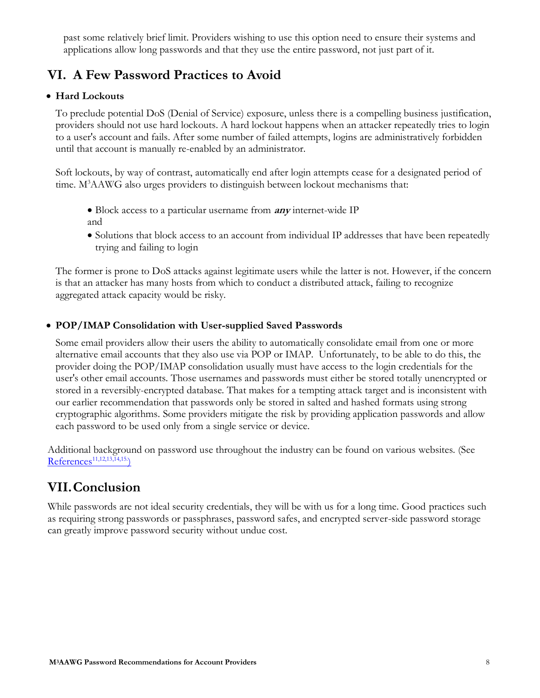past some relatively brief limit. Providers wishing to use this option need to ensure their systems and applications allow long passwords and that they use the entire password, not just part of it.

# <span id="page-7-2"></span><span id="page-7-0"></span>**VI. A Few Password Practices to Avoid**

### • **Hard Lockouts**

To preclude potential DoS (Denial of Service) exposure, unless there is a compelling business justification, providers should not use hard lockouts. A hard lockout happens when an attacker repeatedly tries to login to a user's account and fails. After some number of failed attempts, logins are administratively forbidden until that account is manually re-enabled by an administrator.

Soft lockouts, by way of contrast, automatically end after login attempts cease for a designated period of time. M<sup>3</sup>AAWG also urges providers to distinguish between lockout mechanisms that:

- Block access to a particular username from **any** internet-wide IP and
- Solutions that block access to an account from individual IP addresses that have been repeatedly trying and failing to login

The former is prone to DoS attacks against legitimate users while the latter is not. However, if the concern is that an attacker has many hosts from which to conduct a distributed attack, failing to recognize aggregated attack capacity would be risky.

### • **POP/IMAP Consolidation with User-supplied Saved Passwords**

Some email providers allow their users the ability to automatically consolidate email from one or more alternative email accounts that they also use via POP or IMAP. Unfortunately, to be able to do this, the provider doing the POP/IMAP consolidation usually must have access to the login credentials for the user's other email accounts. Those usernames and passwords must either be stored totally unencrypted or stored in a reversibly-encrypted database. That makes for a tempting attack target and is inconsistent with our earlier recommendation that passwords only be stored in salted and hashed formats using strong cryptographic algorithms. Some providers mitigate the risk by providing application passwords and allow each password to be used only from a single service or device.

<span id="page-7-4"></span><span id="page-7-3"></span>Additional background on password use throughout the industry can be found on various websites. (See [References](#page-7-3)<sup>[11,](#page-7-3)[12,](#page-8-19)[13,](#page-8-20)[14,](#page-8-21)[15.](#page-8-22)</sup>)

# <span id="page-7-1"></span>**VII.Conclusion**

While passwords are not ideal security credentials, they will be with us for a long time. Good practices such as requiring strong passwords or passphrases, password safes, and encrypted server-side password storage can greatly improve password security without undue cost.